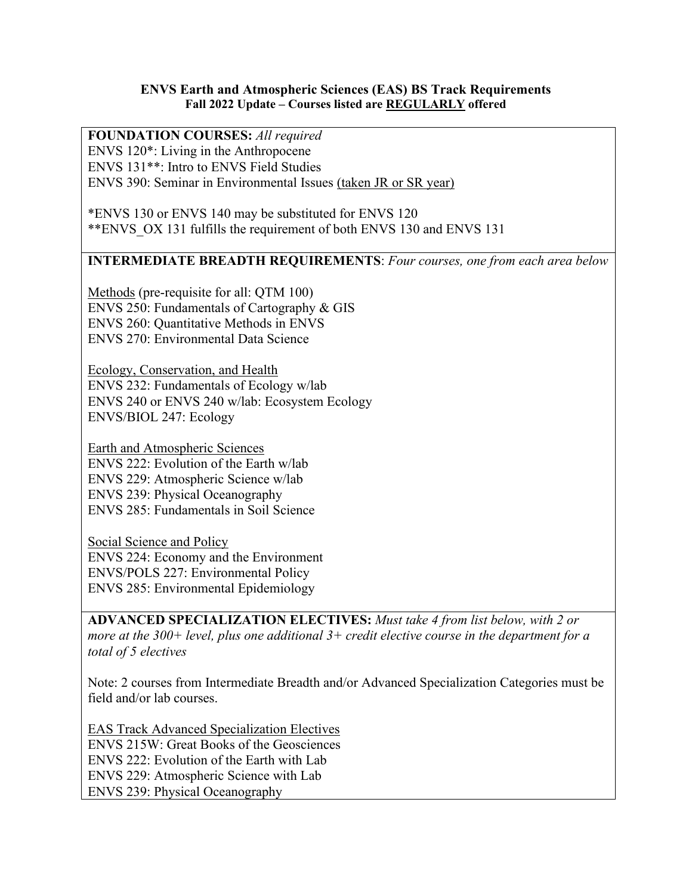## **ENVS Earth and Atmospheric Sciences (EAS) BS Track Requirements Fall 2022 Update – Courses listed are REGULARLY offered**

## **FOUNDATION COURSES:** *All required* ENVS 120\*: Living in the Anthropocene ENVS 131\*\*: Intro to ENVS Field Studies

ENVS 390: Seminar in Environmental Issues (taken JR or SR year)

\*ENVS 130 or ENVS 140 may be substituted for ENVS 120 \*\*ENVS\_OX 131 fulfills the requirement of both ENVS 130 and ENVS 131

## **INTERMEDIATE BREADTH REQUIREMENTS**: *Four courses, one from each area below*

Methods (pre-requisite for all: QTM 100) ENVS 250: Fundamentals of Cartography & GIS ENVS 260: Quantitative Methods in ENVS ENVS 270: Environmental Data Science

Ecology, Conservation, and Health ENVS 232: Fundamentals of Ecology w/lab ENVS 240 or ENVS 240 w/lab: Ecosystem Ecology ENVS/BIOL 247: Ecology

Earth and Atmospheric Sciences ENVS 222: Evolution of the Earth w/lab ENVS 229: Atmospheric Science w/lab ENVS 239: Physical Oceanography ENVS 285: Fundamentals in Soil Science

Social Science and Policy ENVS 224: Economy and the Environment ENVS/POLS 227: Environmental Policy ENVS 285: Environmental Epidemiology

**ADVANCED SPECIALIZATION ELECTIVES:** *Must take 4 from list below, with 2 or more at the 300+ level, plus one additional 3+ credit elective course in the department for a total of 5 electives*

Note: 2 courses from Intermediate Breadth and/or Advanced Specialization Categories must be field and/or lab courses.

EAS Track Advanced Specialization Electives ENVS 215W: Great Books of the Geosciences ENVS 222: Evolution of the Earth with Lab ENVS 229: Atmospheric Science with Lab ENVS 239: Physical Oceanography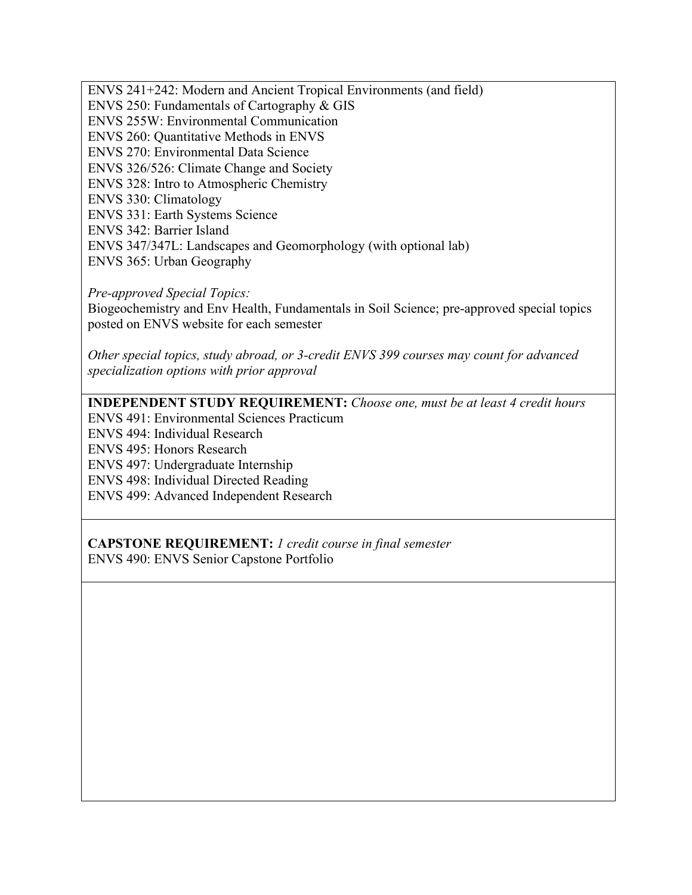ENVS 241+242: Modern and Ancient Tropical Environments (and field) ENVS 250: Fundamentals of Cartography & GIS ENVS 255W: Environmental Communication ENVS 260: Quantitative Methods in ENVS ENVS 270: Environmental Data Science ENVS 326/526: Climate Change and Society ENVS 328: Intro to Atmospheric Chemistry ENVS 330: Climatology ENVS 331: Earth Systems Science ENVS 342: Barrier Island ENVS 347/347L: Landscapes and Geomorphology (with optional lab) ENVS 365: Urban Geography

*Pre-approved Special Topics:*

Biogeochemistry and Env Health, Fundamentals in Soil Science; pre-approved special topics posted on ENVS website for each semester

*Other special topics, study abroad, or 3-credit ENVS 399 courses may count for advanced specialization options with prior approval*

**INDEPENDENT STUDY REQUIREMENT:** *Choose one, must be at least 4 credit hours*

ENVS 491: Environmental Sciences Practicum

ENVS 494: Individual Research

ENVS 495: Honors Research

ENVS 497: Undergraduate Internship

ENVS 498: Individual Directed Reading

ENVS 499: Advanced Independent Research

**CAPSTONE REQUIREMENT:** *1 credit course in final semester* ENVS 490: ENVS Senior Capstone Portfolio